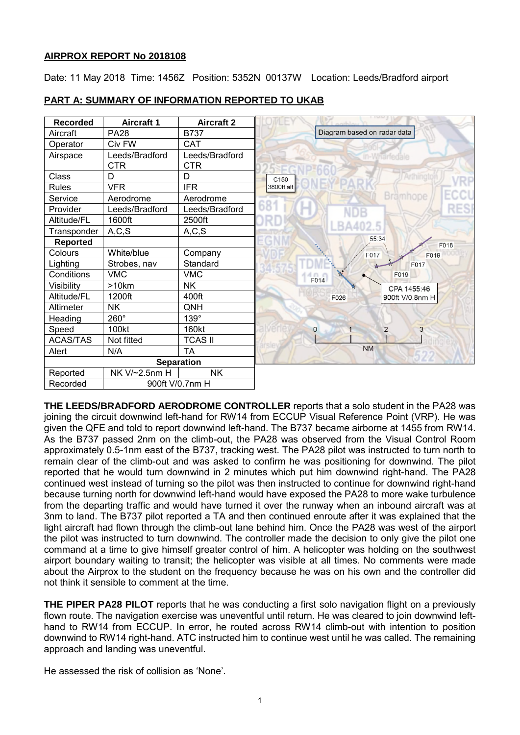# **AIRPROX REPORT No 2018108**

Date: 11 May 2018 Time: 1456Z Position: 5352N 00137W Location: Leeds/Bradford airport

| Recorded          | <b>Aircraft 1</b>            | <b>Aircraft 2</b>            |                                     |
|-------------------|------------------------------|------------------------------|-------------------------------------|
| Aircraft          | <b>PA28</b>                  | <b>B737</b>                  | Diagram based on radar data         |
| Operator          | Civ FW                       | <b>CAT</b>                   |                                     |
| Airspace          | Leeds/Bradford<br><b>CTR</b> | Leeds/Bradford<br><b>CTR</b> | <b>Wharfedale</b>                   |
| Class             | D                            | D                            | Arthingt<br>C150                    |
| Rules             | <b>VFR</b>                   | <b>IFR</b>                   | 3800ft alt                          |
| Service           | Aerodrome                    | Aerodrome                    | <b>Brämhope</b>                     |
| Provider          | Leeds/Bradford               | Leeds/Bradford               | <b>RES</b>                          |
| Altitude/FL       | 1600ft                       | 2500ft                       |                                     |
| Transponder       | A, C, S                      | A, C, S                      |                                     |
| Reported          |                              |                              | 55:34<br>F018                       |
| Colours           | White/blue                   | Company                      | F017<br>F019                        |
| Lighting          | Strobes, nav                 | Standard                     | F017                                |
| Conditions        | <b>VMC</b>                   | <b>VMC</b>                   | F019<br>F014                        |
| Visibility        | $>10$ km                     | <b>NK</b>                    | CPA 1455:46                         |
| Altitude/FL       | 1200ft                       | 400ft                        | 900ft V/0.8nm H<br>F026             |
| Altimeter         | <b>NK</b>                    | QNH                          |                                     |
| Heading           | 260°                         | 139°                         |                                     |
| Speed             | 100kt                        | 160kt                        | $\mathbf{O}$<br>$\overline{2}$<br>3 |
| <b>ACAS/TAS</b>   | Not fitted                   | <b>TCAS II</b>               |                                     |
| Alert             | N/A                          | <b>TA</b>                    | <b>NM</b>                           |
| <b>Separation</b> |                              |                              |                                     |
| Reported          | NK V/~2.5nm H                | <b>NK</b>                    |                                     |
| Recorded          | 900ft V/0.7nm H              |                              |                                     |

# **PART A: SUMMARY OF INFORMATION REPORTED TO UKAB**

**THE LEEDS/BRADFORD AERODROME CONTROLLER** reports that a solo student in the PA28 was joining the circuit downwind left-hand for RW14 from ECCUP Visual Reference Point (VRP). He was given the QFE and told to report downwind left-hand. The B737 became airborne at 1455 from RW14. As the B737 passed 2nm on the climb-out, the PA28 was observed from the Visual Control Room approximately 0.5-1nm east of the B737, tracking west. The PA28 pilot was instructed to turn north to remain clear of the climb-out and was asked to confirm he was positioning for downwind. The pilot reported that he would turn downwind in 2 minutes which put him downwind right-hand. The PA28 continued west instead of turning so the pilot was then instructed to continue for downwind right-hand because turning north for downwind left-hand would have exposed the PA28 to more wake turbulence from the departing traffic and would have turned it over the runway when an inbound aircraft was at 3nm to land. The B737 pilot reported a TA and then continued enroute after it was explained that the light aircraft had flown through the climb-out lane behind him. Once the PA28 was west of the airport the pilot was instructed to turn downwind. The controller made the decision to only give the pilot one command at a time to give himself greater control of him. A helicopter was holding on the southwest airport boundary waiting to transit; the helicopter was visible at all times. No comments were made about the Airprox to the student on the frequency because he was on his own and the controller did not think it sensible to comment at the time.

**THE PIPER PA28 PILOT** reports that he was conducting a first solo navigation flight on a previously flown route. The navigation exercise was uneventful until return. He was cleared to join downwind lefthand to RW14 from ECCUP. In error, he routed across RW14 climb-out with intention to position downwind to RW14 right-hand. ATC instructed him to continue west until he was called. The remaining approach and landing was uneventful.

He assessed the risk of collision as 'None'.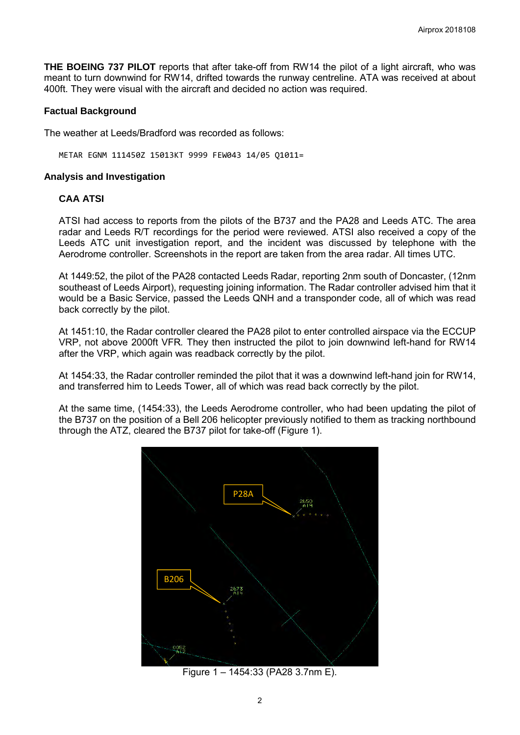**THE BOEING 737 PILOT** reports that after take-off from RW14 the pilot of a light aircraft, who was meant to turn downwind for RW14, drifted towards the runway centreline. ATA was received at about 400ft. They were visual with the aircraft and decided no action was required.

## **Factual Background**

The weather at Leeds/Bradford was recorded as follows:

METAR EGNM 111450Z 15013KT 9999 FEW043 14/05 Q1011=

### **Analysis and Investigation**

### **CAA ATSI**

ATSI had access to reports from the pilots of the B737 and the PA28 and Leeds ATC. The area radar and Leeds R/T recordings for the period were reviewed. ATSI also received a copy of the Leeds ATC unit investigation report, and the incident was discussed by telephone with the Aerodrome controller. Screenshots in the report are taken from the area radar. All times UTC.

At 1449:52, the pilot of the PA28 contacted Leeds Radar, reporting 2nm south of Doncaster, (12nm southeast of Leeds Airport), requesting joining information. The Radar controller advised him that it would be a Basic Service, passed the Leeds QNH and a transponder code, all of which was read back correctly by the pilot.

At 1451:10, the Radar controller cleared the PA28 pilot to enter controlled airspace via the ECCUP VRP, not above 2000ft VFR*.* They then instructed the pilot to join downwind left-hand for RW14 after the VRP, which again was readback correctly by the pilot.

At 1454:33, the Radar controller reminded the pilot that it was a downwind left-hand join for RW14, and transferred him to Leeds Tower, all of which was read back correctly by the pilot.

At the same time, (1454:33), the Leeds Aerodrome controller, who had been updating the pilot of the B737 on the position of a Bell 206 helicopter previously notified to them as tracking northbound through the ATZ, cleared the B737 pilot for take-off (Figure 1).



Figure 1 – 1454:33 (PA28 3.7nm E).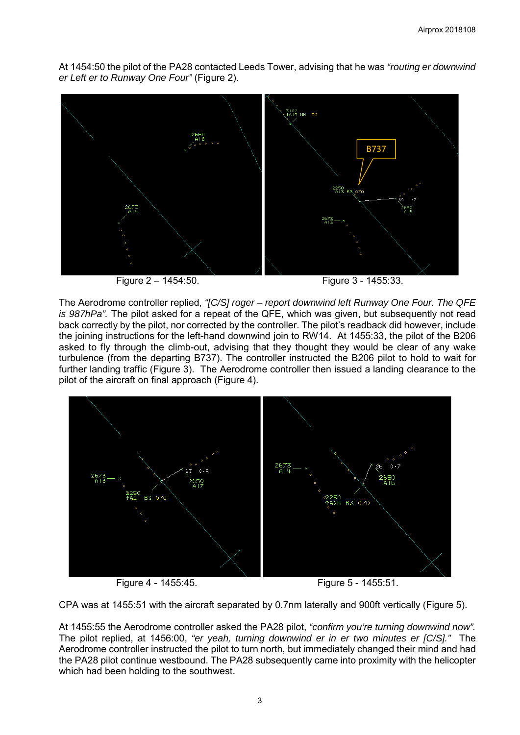At 1454:50 the pilot of the PA28 contacted Leeds Tower, advising that he was *"routing er downwind er Left er to Runway One Four"* (Figure 2).



Figure 2 – 1454:50. Figure 3 - 1455:33.

The Aerodrome controller replied, *"[C/S] roger – report downwind left Runway One Four. The QFE is 987hPa".* The pilot asked for a repeat of the QFE, which was given, but subsequently not read back correctly by the pilot, nor corrected by the controller. The pilot's readback did however, include the joining instructions for the left-hand downwind join to RW14. At 1455:33, the pilot of the B206 asked to fly through the climb-out, advising that they thought they would be clear of any wake turbulence (from the departing B737). The controller instructed the B206 pilot to hold to wait for further landing traffic (Figure 3). The Aerodrome controller then issued a landing clearance to the pilot of the aircraft on final approach (Figure 4).



Figure 4 - 1455:45. Figure 5 - 1455:51.

CPA was at 1455:51 with the aircraft separated by 0.7nm laterally and 900ft vertically (Figure 5).

At 1455:55 the Aerodrome controller asked the PA28 pilot, *"confirm you're turning downwind now".* The pilot replied, at 1456:00, *"er yeah, turning downwind er in er two minutes er [C/S]."* The Aerodrome controller instructed the pilot to turn north, but immediately changed their mind and had the PA28 pilot continue westbound. The PA28 subsequently came into proximity with the helicopter which had been holding to the southwest.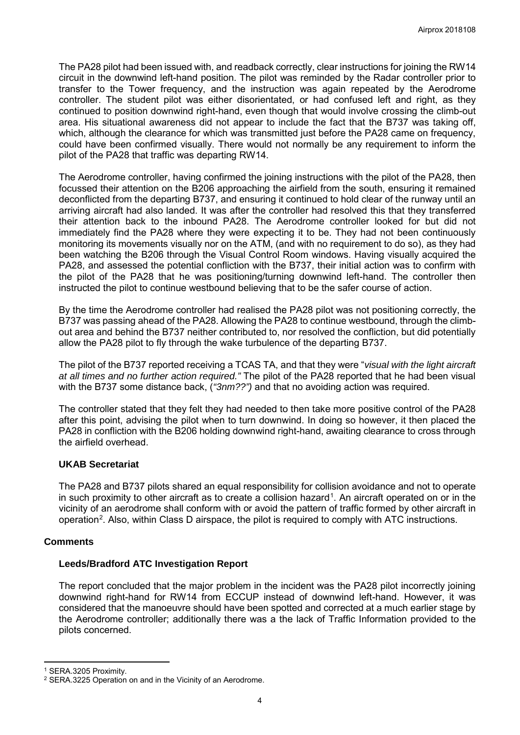The PA28 pilot had been issued with, and readback correctly, clear instructions for joining the RW14 circuit in the downwind left-hand position. The pilot was reminded by the Radar controller prior to transfer to the Tower frequency, and the instruction was again repeated by the Aerodrome controller. The student pilot was either disorientated, or had confused left and right, as they continued to position downwind right-hand, even though that would involve crossing the climb-out area. His situational awareness did not appear to include the fact that the B737 was taking off, which, although the clearance for which was transmitted just before the PA28 came on frequency, could have been confirmed visually. There would not normally be any requirement to inform the pilot of the PA28 that traffic was departing RW14.

The Aerodrome controller, having confirmed the joining instructions with the pilot of the PA28, then focussed their attention on the B206 approaching the airfield from the south, ensuring it remained deconflicted from the departing B737, and ensuring it continued to hold clear of the runway until an arriving aircraft had also landed. It was after the controller had resolved this that they transferred their attention back to the inbound PA28. The Aerodrome controller looked for but did not immediately find the PA28 where they were expecting it to be. They had not been continuously monitoring its movements visually nor on the ATM, (and with no requirement to do so), as they had been watching the B206 through the Visual Control Room windows. Having visually acquired the PA28, and assessed the potential confliction with the B737, their initial action was to confirm with the pilot of the PA28 that he was positioning/turning downwind left-hand. The controller then instructed the pilot to continue westbound believing that to be the safer course of action.

By the time the Aerodrome controller had realised the PA28 pilot was not positioning correctly, the B737 was passing ahead of the PA28. Allowing the PA28 to continue westbound, through the climbout area and behind the B737 neither contributed to, nor resolved the confliction, but did potentially allow the PA28 pilot to fly through the wake turbulence of the departing B737.

The pilot of the B737 reported receiving a TCAS TA, and that they were "*visual with the light aircraft at all times and no further action required."* The pilot of the PA28 reported that he had been visual with the B737 some distance back, (*"3nm??")* and that no avoiding action was required.

The controller stated that they felt they had needed to then take more positive control of the PA28 after this point, advising the pilot when to turn downwind. In doing so however, it then placed the PA28 in confliction with the B206 holding downwind right-hand, awaiting clearance to cross through the airfield overhead.

## **UKAB Secretariat**

The PA28 and B737 pilots shared an equal responsibility for collision avoidance and not to operate in such proximity to other aircraft as to create a collision hazard<sup>[1](#page-3-0)</sup>. An aircraft operated on or in the vicinity of an aerodrome shall conform with or avoid the pattern of traffic formed by other aircraft in operation<sup>[2](#page-3-1)</sup>. Also, within Class D airspace, the pilot is required to comply with ATC instructions.

### **Comments**

# **Leeds/Bradford ATC Investigation Report**

The report concluded that the major problem in the incident was the PA28 pilot incorrectly joining downwind right-hand for RW14 from ECCUP instead of downwind left-hand. However, it was considered that the manoeuvre should have been spotted and corrected at a much earlier stage by the Aerodrome controller; additionally there was a the lack of Traffic Information provided to the pilots concerned.

l

<span id="page-3-0"></span><sup>1</sup> SERA.3205 Proximity.

<span id="page-3-1"></span><sup>2</sup> SERA.3225 Operation on and in the Vicinity of an Aerodrome.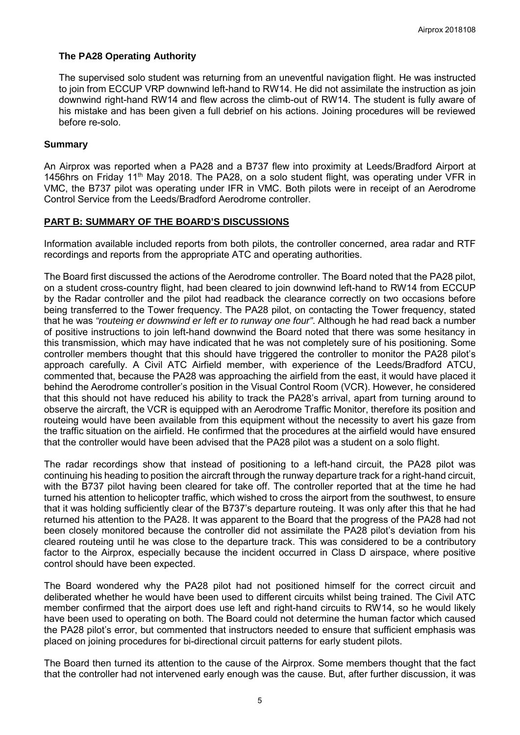## **The PA28 Operating Authority**

The supervised solo student was returning from an uneventful navigation flight. He was instructed to join from ECCUP VRP downwind left-hand to RW14. He did not assimilate the instruction as join downwind right-hand RW14 and flew across the climb-out of RW14. The student is fully aware of his mistake and has been given a full debrief on his actions. Joining procedures will be reviewed before re-solo.

## **Summary**

An Airprox was reported when a PA28 and a B737 flew into proximity at Leeds/Bradford Airport at 1456hrs on Friday 11<sup>th</sup> May 2018. The PA28, on a solo student flight, was operating under VFR in VMC, the B737 pilot was operating under IFR in VMC. Both pilots were in receipt of an Aerodrome Control Service from the Leeds/Bradford Aerodrome controller.

## **PART B: SUMMARY OF THE BOARD'S DISCUSSIONS**

Information available included reports from both pilots, the controller concerned, area radar and RTF recordings and reports from the appropriate ATC and operating authorities.

The Board first discussed the actions of the Aerodrome controller. The Board noted that the PA28 pilot, on a student cross-country flight, had been cleared to join downwind left-hand to RW14 from ECCUP by the Radar controller and the pilot had readback the clearance correctly on two occasions before being transferred to the Tower frequency. The PA28 pilot, on contacting the Tower frequency, stated that he was *"routeing er downwind er left er to runway one four"*. Although he had read back a number of positive instructions to join left-hand downwind the Board noted that there was some hesitancy in this transmission, which may have indicated that he was not completely sure of his positioning. Some controller members thought that this should have triggered the controller to monitor the PA28 pilot's approach carefully. A Civil ATC Airfield member, with experience of the Leeds/Bradford ATCU, commented that, because the PA28 was approaching the airfield from the east, it would have placed it behind the Aerodrome controller's position in the Visual Control Room (VCR). However, he considered that this should not have reduced his ability to track the PA28's arrival, apart from turning around to observe the aircraft, the VCR is equipped with an Aerodrome Traffic Monitor, therefore its position and routeing would have been available from this equipment without the necessity to avert his gaze from the traffic situation on the airfield. He confirmed that the procedures at the airfield would have ensured that the controller would have been advised that the PA28 pilot was a student on a solo flight.

The radar recordings show that instead of positioning to a left-hand circuit, the PA28 pilot was continuing his heading to position the aircraft through the runway departure track for a right-hand circuit, with the B737 pilot having been cleared for take off. The controller reported that at the time he had turned his attention to helicopter traffic, which wished to cross the airport from the southwest, to ensure that it was holding sufficiently clear of the B737's departure routeing. It was only after this that he had returned his attention to the PA28. It was apparent to the Board that the progress of the PA28 had not been closely monitored because the controller did not assimilate the PA28 pilot's deviation from his cleared routeing until he was close to the departure track. This was considered to be a contributory factor to the Airprox, especially because the incident occurred in Class D airspace, where positive control should have been expected.

The Board wondered why the PA28 pilot had not positioned himself for the correct circuit and deliberated whether he would have been used to different circuits whilst being trained. The Civil ATC member confirmed that the airport does use left and right-hand circuits to RW14, so he would likely have been used to operating on both. The Board could not determine the human factor which caused the PA28 pilot's error, but commented that instructors needed to ensure that sufficient emphasis was placed on joining procedures for bi-directional circuit patterns for early student pilots.

The Board then turned its attention to the cause of the Airprox. Some members thought that the fact that the controller had not intervened early enough was the cause. But, after further discussion, it was